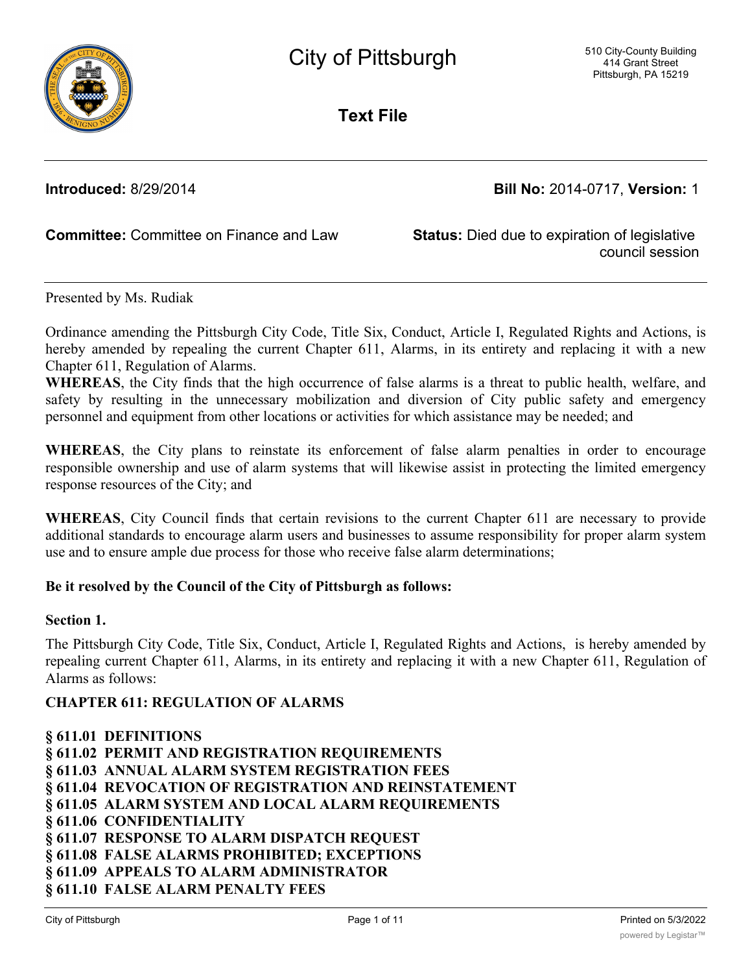

**Text File**

**Introduced:** 8/29/2014 **Bill No:** 2014-0717, **Version:** 1

**Committee:** Committee on Finance and Law **Status:** Died due to expiration of legislative

council session

Presented by Ms. Rudiak

Ordinance amending the Pittsburgh City Code, Title Six, Conduct, Article I, Regulated Rights and Actions, is hereby amended by repealing the current Chapter 611, Alarms, in its entirety and replacing it with a new Chapter 611, Regulation of Alarms.

**WHEREAS**, the City finds that the high occurrence of false alarms is a threat to public health, welfare, and safety by resulting in the unnecessary mobilization and diversion of City public safety and emergency personnel and equipment from other locations or activities for which assistance may be needed; and

**WHEREAS**, the City plans to reinstate its enforcement of false alarm penalties in order to encourage responsible ownership and use of alarm systems that will likewise assist in protecting the limited emergency response resources of the City; and

**WHEREAS**, City Council finds that certain revisions to the current Chapter 611 are necessary to provide additional standards to encourage alarm users and businesses to assume responsibility for proper alarm system use and to ensure ample due process for those who receive false alarm determinations;

#### **Be it resolved by the Council of the City of Pittsburgh as follows:**

#### **Section 1.**

The Pittsburgh City Code, Title Six, Conduct, Article I, Regulated Rights and Actions, is hereby amended by repealing current Chapter 611, Alarms, in its entirety and replacing it with a new Chapter 611, Regulation of Alarms as follows:

# **CHAPTER 611: REGULATION OF ALARMS**

**§ 611.01 DEFINITIONS § 611.02 PERMIT AND REGISTRATION REQUIREMENTS § 611.03 ANNUAL ALARM SYSTEM REGISTRATION FEES § 611.04 REVOCATION OF REGISTRATION AND REINSTATEMENT § 611.05 ALARM SYSTEM AND LOCAL ALARM REQUIREMENTS § 611.06 CONFIDENTIALITY § 611.07 RESPONSE TO ALARM DISPATCH REQUEST § 611.08 FALSE ALARMS PROHIBITED; EXCEPTIONS § 611.09 APPEALS TO ALARM ADMINISTRATOR § 611.10 FALSE ALARM PENALTY FEES**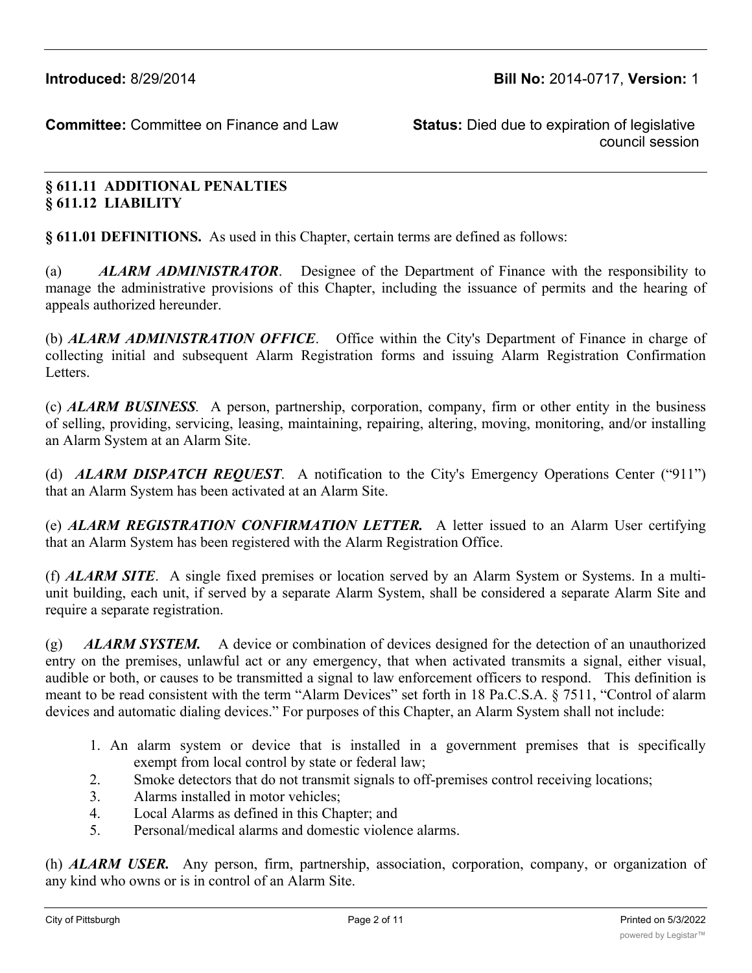council session

# **§ 611.11 ADDITIONAL PENALTIES § 611.12 LIABILITY**

**§ 611.01 DEFINITIONS.** As used in this Chapter, certain terms are defined as follows:

(a) *ALARM ADMINISTRATOR*. Designee of the Department of Finance with the responsibility to manage the administrative provisions of this Chapter, including the issuance of permits and the hearing of appeals authorized hereunder.

(b) *ALARM ADMINISTRATION OFFICE*. Office within the City's Department of Finance in charge of collecting initial and subsequent Alarm Registration forms and issuing Alarm Registration Confirmation Letters.

(c) *ALARM BUSINESS.* A person, partnership, corporation, company, firm or other entity in the business of selling, providing, servicing, leasing, maintaining, repairing, altering, moving, monitoring, and/or installing an Alarm System at an Alarm Site.

(d) *ALARM DISPATCH REQUEST*. A notification to the City's Emergency Operations Center ("911") that an Alarm System has been activated at an Alarm Site.

(e) *ALARM REGISTRATION CONFIRMATION LETTER.* A letter issued to an Alarm User certifying that an Alarm System has been registered with the Alarm Registration Office.

(f) *ALARM SITE*. A single fixed premises or location served by an Alarm System or Systems. In a multiunit building, each unit, if served by a separate Alarm System, shall be considered a separate Alarm Site and require a separate registration.

(g) *ALARM SYSTEM.* A device or combination of devices designed for the detection of an unauthorized entry on the premises, unlawful act or any emergency, that when activated transmits a signal, either visual, audible or both, or causes to be transmitted a signal to law enforcement officers to respond. This definition is meant to be read consistent with the term "Alarm Devices" set forth in 18 Pa.C.S.A. § 7511, "Control of alarm devices and automatic dialing devices." For purposes of this Chapter, an Alarm System shall not include:

- 1. An alarm system or device that is installed in a government premises that is specifically exempt from local control by state or federal law;
- 2. Smoke detectors that do not transmit signals to off-premises control receiving locations;
- 3. Alarms installed in motor vehicles;
- 4. Local Alarms as defined in this Chapter; and
- 5. Personal/medical alarms and domestic violence alarms.

(h) *ALARM USER.* Any person, firm, partnership, association, corporation, company, or organization of any kind who owns or is in control of an Alarm Site.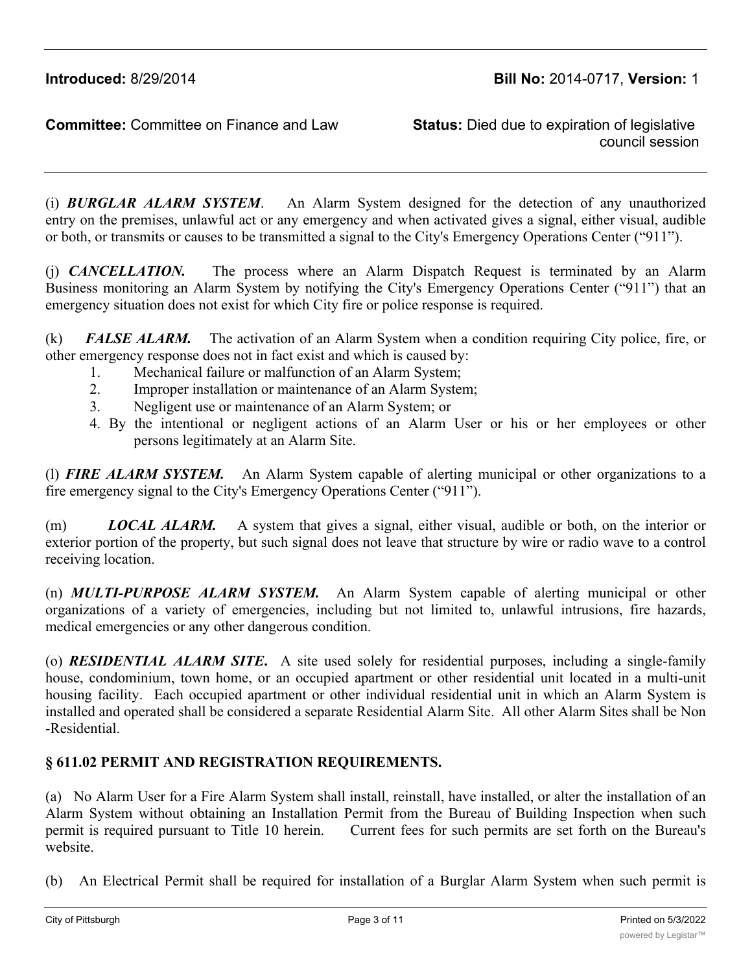council session

(i) *BURGLAR ALARM SYSTEM*. An Alarm System designed for the detection of any unauthorized entry on the premises, unlawful act or any emergency and when activated gives a signal, either visual, audible or both, or transmits or causes to be transmitted a signal to the City's Emergency Operations Center ("911").

(j) *CANCELLATION.* The process where an Alarm Dispatch Request is terminated by an Alarm Business monitoring an Alarm System by notifying the City's Emergency Operations Center ("911") that an emergency situation does not exist for which City fire or police response is required.

(k) *FALSE ALARM.* The activation of an Alarm System when a condition requiring City police, fire, or other emergency response does not in fact exist and which is caused by:

- 1. Mechanical failure or malfunction of an Alarm System;
- 2. Improper installation or maintenance of an Alarm System;
- 3. Negligent use or maintenance of an Alarm System; or
- 4. By the intentional or negligent actions of an Alarm User or his or her employees or other persons legitimately at an Alarm Site.

(l) *FIRE ALARM SYSTEM.* An Alarm System capable of alerting municipal or other organizations to a fire emergency signal to the City's Emergency Operations Center ("911").

(m) *LOCAL ALARM.* A system that gives a signal, either visual, audible or both, on the interior or exterior portion of the property, but such signal does not leave that structure by wire or radio wave to a control receiving location.

(n) *MULTI-PURPOSE ALARM SYSTEM.* An Alarm System capable of alerting municipal or other organizations of a variety of emergencies, including but not limited to, unlawful intrusions, fire hazards, medical emergencies or any other dangerous condition.

(o) *RESIDENTIAL ALARM SITE***.** A site used solely for residential purposes, including a single-family house, condominium, town home, or an occupied apartment or other residential unit located in a multi-unit housing facility. Each occupied apartment or other individual residential unit in which an Alarm System is installed and operated shall be considered a separate Residential Alarm Site. All other Alarm Sites shall be Non -Residential.

# **§ 611.02 PERMIT AND REGISTRATION REQUIREMENTS.**

(a) No Alarm User for a Fire Alarm System shall install, reinstall, have installed, or alter the installation of an Alarm System without obtaining an Installation Permit from the Bureau of Building Inspection when such permit is required pursuant to Title 10 herein. Current fees for such permits are set forth on the Bureau's website.

(b) An Electrical Permit shall be required for installation of a Burglar Alarm System when such permit is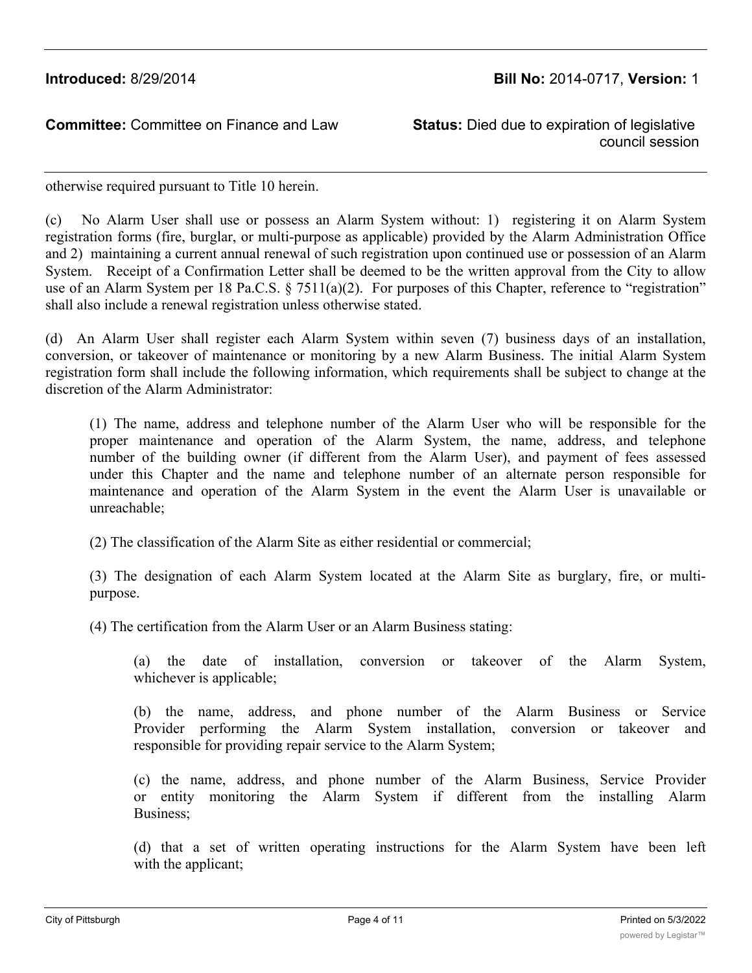council session

otherwise required pursuant to Title 10 herein.

(c) No Alarm User shall use or possess an Alarm System without: 1) registering it on Alarm System registration forms (fire, burglar, or multi-purpose as applicable) provided by the Alarm Administration Office and 2) maintaining a current annual renewal of such registration upon continued use or possession of an Alarm System. Receipt of a Confirmation Letter shall be deemed to be the written approval from the City to allow use of an Alarm System per 18 Pa.C.S. § 7511(a)(2). For purposes of this Chapter, reference to "registration" shall also include a renewal registration unless otherwise stated.

(d) An Alarm User shall register each Alarm System within seven (7) business days of an installation, conversion, or takeover of maintenance or monitoring by a new Alarm Business. The initial Alarm System registration form shall include the following information, which requirements shall be subject to change at the discretion of the Alarm Administrator:

(1) The name, address and telephone number of the Alarm User who will be responsible for the proper maintenance and operation of the Alarm System, the name, address, and telephone number of the building owner (if different from the Alarm User), and payment of fees assessed under this Chapter and the name and telephone number of an alternate person responsible for maintenance and operation of the Alarm System in the event the Alarm User is unavailable or unreachable;

(2) The classification of the Alarm Site as either residential or commercial;

(3) The designation of each Alarm System located at the Alarm Site as burglary, fire, or multipurpose.

(4) The certification from the Alarm User or an Alarm Business stating:

(a) the date of installation, conversion or takeover of the Alarm System, whichever is applicable;

(b) the name, address, and phone number of the Alarm Business or Service Provider performing the Alarm System installation, conversion or takeover and responsible for providing repair service to the Alarm System;

(c) the name, address, and phone number of the Alarm Business, Service Provider or entity monitoring the Alarm System if different from the installing Alarm Business;

(d) that a set of written operating instructions for the Alarm System have been left with the applicant;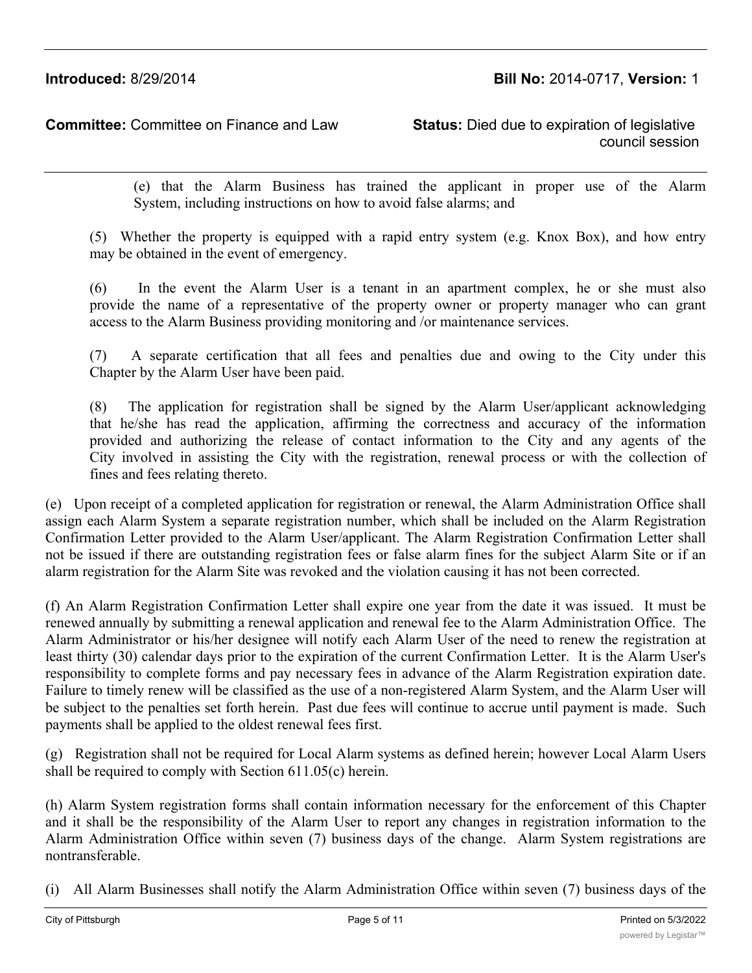council session

(e) that the Alarm Business has trained the applicant in proper use of the Alarm System, including instructions on how to avoid false alarms; and

(5) Whether the property is equipped with a rapid entry system (e.g. Knox Box), and how entry may be obtained in the event of emergency.

(6) In the event the Alarm User is a tenant in an apartment complex, he or she must also provide the name of a representative of the property owner or property manager who can grant access to the Alarm Business providing monitoring and /or maintenance services.

(7) A separate certification that all fees and penalties due and owing to the City under this Chapter by the Alarm User have been paid.

(8) The application for registration shall be signed by the Alarm User/applicant acknowledging that he/she has read the application, affirming the correctness and accuracy of the information provided and authorizing the release of contact information to the City and any agents of the City involved in assisting the City with the registration, renewal process or with the collection of fines and fees relating thereto.

(e) Upon receipt of a completed application for registration or renewal, the Alarm Administration Office shall assign each Alarm System a separate registration number, which shall be included on the Alarm Registration Confirmation Letter provided to the Alarm User/applicant. The Alarm Registration Confirmation Letter shall not be issued if there are outstanding registration fees or false alarm fines for the subject Alarm Site or if an alarm registration for the Alarm Site was revoked and the violation causing it has not been corrected.

(f) An Alarm Registration Confirmation Letter shall expire one year from the date it was issued. It must be renewed annually by submitting a renewal application and renewal fee to the Alarm Administration Office. The Alarm Administrator or his/her designee will notify each Alarm User of the need to renew the registration at least thirty (30) calendar days prior to the expiration of the current Confirmation Letter. It is the Alarm User's responsibility to complete forms and pay necessary fees in advance of the Alarm Registration expiration date. Failure to timely renew will be classified as the use of a non-registered Alarm System, and the Alarm User will be subject to the penalties set forth herein. Past due fees will continue to accrue until payment is made. Such payments shall be applied to the oldest renewal fees first.

(g) Registration shall not be required for Local Alarm systems as defined herein; however Local Alarm Users shall be required to comply with Section 611.05(c) herein.

(h) Alarm System registration forms shall contain information necessary for the enforcement of this Chapter and it shall be the responsibility of the Alarm User to report any changes in registration information to the Alarm Administration Office within seven (7) business days of the change. Alarm System registrations are nontransferable.

(i) All Alarm Businesses shall notify the Alarm Administration Office within seven (7) business days of the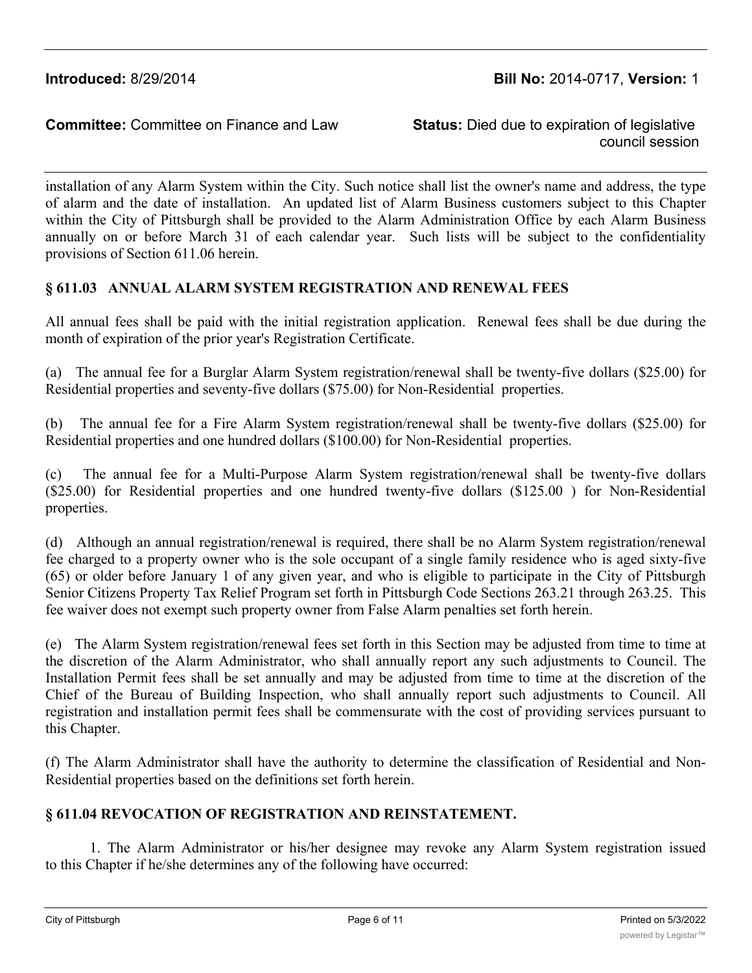council session

installation of any Alarm System within the City. Such notice shall list the owner's name and address, the type of alarm and the date of installation. An updated list of Alarm Business customers subject to this Chapter within the City of Pittsburgh shall be provided to the Alarm Administration Office by each Alarm Business annually on or before March 31 of each calendar year. Such lists will be subject to the confidentiality provisions of Section 611.06 herein.

### **§ 611.03 ANNUAL ALARM SYSTEM REGISTRATION AND RENEWAL FEES**

All annual fees shall be paid with the initial registration application. Renewal fees shall be due during the month of expiration of the prior year's Registration Certificate.

(a) The annual fee for a Burglar Alarm System registration/renewal shall be twenty-five dollars (\$25.00) for Residential properties and seventy-five dollars (\$75.00) for Non-Residential properties.

(b) The annual fee for a Fire Alarm System registration/renewal shall be twenty-five dollars (\$25.00) for Residential properties and one hundred dollars (\$100.00) for Non-Residential properties.

(c) The annual fee for a Multi-Purpose Alarm System registration/renewal shall be twenty-five dollars (\$25.00) for Residential properties and one hundred twenty-five dollars (\$125.00 ) for Non-Residential properties.

(d) Although an annual registration/renewal is required, there shall be no Alarm System registration/renewal fee charged to a property owner who is the sole occupant of a single family residence who is aged sixty-five (65) or older before January 1 of any given year, and who is eligible to participate in the City of Pittsburgh Senior Citizens Property Tax Relief Program set forth in Pittsburgh Code Sections 263.21 through 263.25. This fee waiver does not exempt such property owner from False Alarm penalties set forth herein.

(e) The Alarm System registration/renewal fees set forth in this Section may be adjusted from time to time at the discretion of the Alarm Administrator, who shall annually report any such adjustments to Council. The Installation Permit fees shall be set annually and may be adjusted from time to time at the discretion of the Chief of the Bureau of Building Inspection, who shall annually report such adjustments to Council. All registration and installation permit fees shall be commensurate with the cost of providing services pursuant to this Chapter.

(f) The Alarm Administrator shall have the authority to determine the classification of Residential and Non-Residential properties based on the definitions set forth herein.

### **§ 611.04 REVOCATION OF REGISTRATION AND REINSTATEMENT.**

1. The Alarm Administrator or his/her designee may revoke any Alarm System registration issued to this Chapter if he/she determines any of the following have occurred: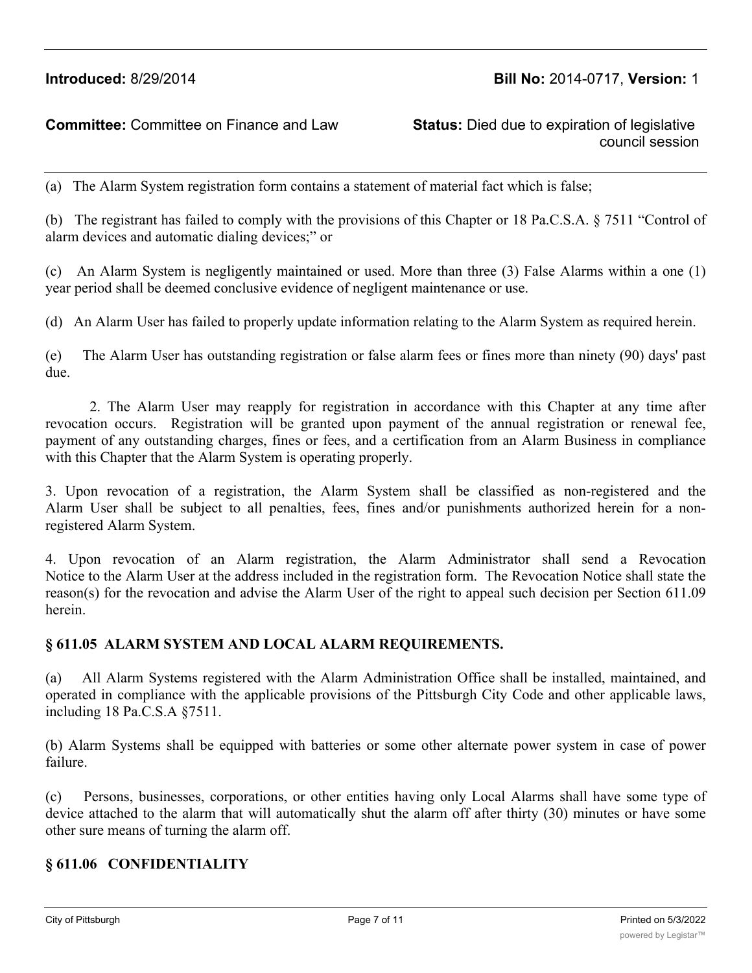# **Introduced:** 8/29/2014 **Bill No:** 2014-0717, **Version:** 1

#### **Committee:** Committee on Finance and Law **Status:** Died due to expiration of legislative

council session

(a) The Alarm System registration form contains a statement of material fact which is false;

(b) The registrant has failed to comply with the provisions of this Chapter or 18 Pa.C.S.A. § 7511 "Control of alarm devices and automatic dialing devices;" or

(c) An Alarm System is negligently maintained or used. More than three (3) False Alarms within a one (1) year period shall be deemed conclusive evidence of negligent maintenance or use.

(d) An Alarm User has failed to properly update information relating to the Alarm System as required herein.

(e) The Alarm User has outstanding registration or false alarm fees or fines more than ninety (90) days' past due.

2. The Alarm User may reapply for registration in accordance with this Chapter at any time after revocation occurs. Registration will be granted upon payment of the annual registration or renewal fee, payment of any outstanding charges, fines or fees, and a certification from an Alarm Business in compliance with this Chapter that the Alarm System is operating properly.

3. Upon revocation of a registration, the Alarm System shall be classified as non-registered and the Alarm User shall be subject to all penalties, fees, fines and/or punishments authorized herein for a nonregistered Alarm System.

4. Upon revocation of an Alarm registration, the Alarm Administrator shall send a Revocation Notice to the Alarm User at the address included in the registration form. The Revocation Notice shall state the reason(s) for the revocation and advise the Alarm User of the right to appeal such decision per Section 611.09 herein.

#### **§ 611.05 ALARM SYSTEM AND LOCAL ALARM REQUIREMENTS.**

(a) All Alarm Systems registered with the Alarm Administration Office shall be installed, maintained, and operated in compliance with the applicable provisions of the Pittsburgh City Code and other applicable laws, including 18 Pa.C.S.A §7511.

(b) Alarm Systems shall be equipped with batteries or some other alternate power system in case of power failure.

(c) Persons, businesses, corporations, or other entities having only Local Alarms shall have some type of device attached to the alarm that will automatically shut the alarm off after thirty (30) minutes or have some other sure means of turning the alarm off.

#### **§ 611.06 CONFIDENTIALITY**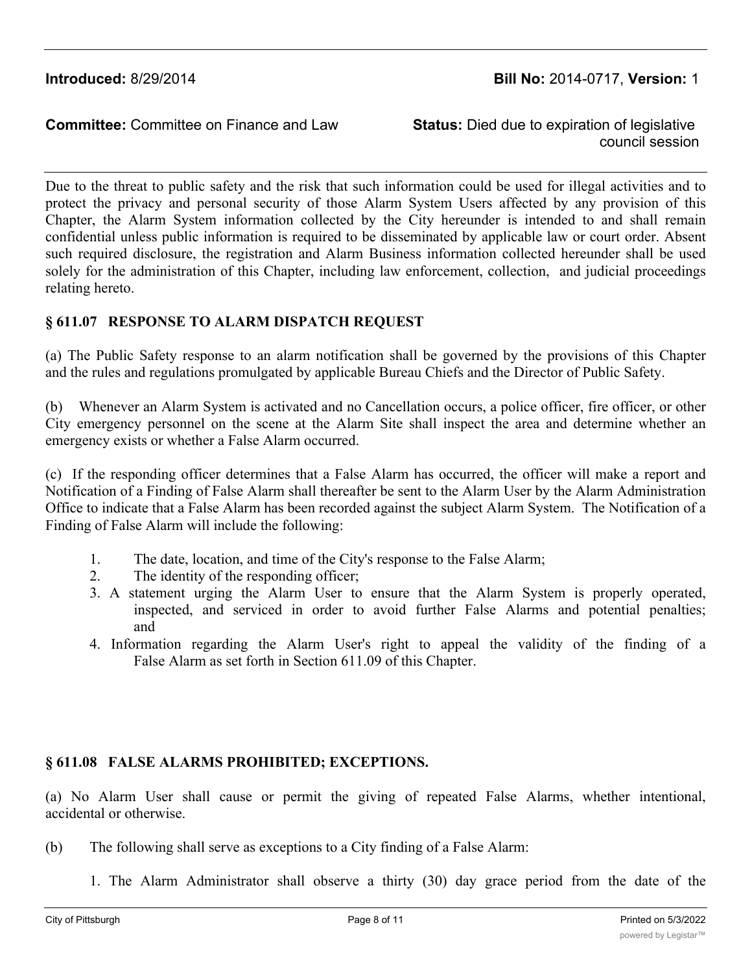council session

Due to the threat to public safety and the risk that such information could be used for illegal activities and to protect the privacy and personal security of those Alarm System Users affected by any provision of this Chapter, the Alarm System information collected by the City hereunder is intended to and shall remain confidential unless public information is required to be disseminated by applicable law or court order. Absent such required disclosure, the registration and Alarm Business information collected hereunder shall be used solely for the administration of this Chapter, including law enforcement, collection, and judicial proceedings relating hereto.

### **§ 611.07 RESPONSE TO ALARM DISPATCH REQUEST**

(a) The Public Safety response to an alarm notification shall be governed by the provisions of this Chapter and the rules and regulations promulgated by applicable Bureau Chiefs and the Director of Public Safety.

(b) Whenever an Alarm System is activated and no Cancellation occurs, a police officer, fire officer, or other City emergency personnel on the scene at the Alarm Site shall inspect the area and determine whether an emergency exists or whether a False Alarm occurred.

(c) If the responding officer determines that a False Alarm has occurred, the officer will make a report and Notification of a Finding of False Alarm shall thereafter be sent to the Alarm User by the Alarm Administration Office to indicate that a False Alarm has been recorded against the subject Alarm System. The Notification of a Finding of False Alarm will include the following:

- 1. The date, location, and time of the City's response to the False Alarm;
- 2. The identity of the responding officer;
- 3. A statement urging the Alarm User to ensure that the Alarm System is properly operated, inspected, and serviced in order to avoid further False Alarms and potential penalties; and
- 4. Information regarding the Alarm User's right to appeal the validity of the finding of a False Alarm as set forth in Section 611.09 of this Chapter.

# **§ 611.08 FALSE ALARMS PROHIBITED; EXCEPTIONS.**

(a) No Alarm User shall cause or permit the giving of repeated False Alarms, whether intentional, accidental or otherwise.

- (b) The following shall serve as exceptions to a City finding of a False Alarm:
	- 1. The Alarm Administrator shall observe a thirty (30) day grace period from the date of the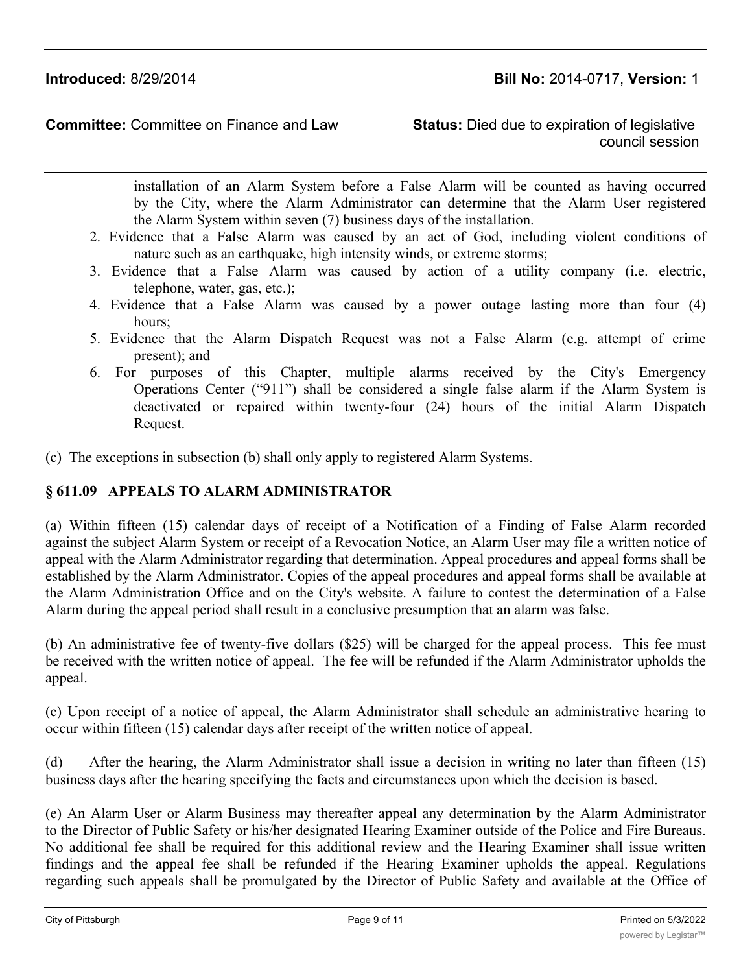council session

installation of an Alarm System before a False Alarm will be counted as having occurred by the City, where the Alarm Administrator can determine that the Alarm User registered the Alarm System within seven (7) business days of the installation.

- 2. Evidence that a False Alarm was caused by an act of God, including violent conditions of nature such as an earthquake, high intensity winds, or extreme storms;
- 3. Evidence that a False Alarm was caused by action of a utility company (i.e. electric, telephone, water, gas, etc.);
- 4. Evidence that a False Alarm was caused by a power outage lasting more than four (4) hours;
- 5. Evidence that the Alarm Dispatch Request was not a False Alarm (e.g. attempt of crime present); and
- 6. For purposes of this Chapter, multiple alarms received by the City's Emergency Operations Center ("911") shall be considered a single false alarm if the Alarm System is deactivated or repaired within twenty-four (24) hours of the initial Alarm Dispatch Request.
- (c) The exceptions in subsection (b) shall only apply to registered Alarm Systems.

# **§ 611.09 APPEALS TO ALARM ADMINISTRATOR**

(a) Within fifteen (15) calendar days of receipt of a Notification of a Finding of False Alarm recorded against the subject Alarm System or receipt of a Revocation Notice, an Alarm User may file a written notice of appeal with the Alarm Administrator regarding that determination. Appeal procedures and appeal forms shall be established by the Alarm Administrator. Copies of the appeal procedures and appeal forms shall be available at the Alarm Administration Office and on the City's website. A failure to contest the determination of a False Alarm during the appeal period shall result in a conclusive presumption that an alarm was false.

(b) An administrative fee of twenty-five dollars (\$25) will be charged for the appeal process. This fee must be received with the written notice of appeal. The fee will be refunded if the Alarm Administrator upholds the appeal.

(c) Upon receipt of a notice of appeal, the Alarm Administrator shall schedule an administrative hearing to occur within fifteen (15) calendar days after receipt of the written notice of appeal.

(d) After the hearing, the Alarm Administrator shall issue a decision in writing no later than fifteen (15) business days after the hearing specifying the facts and circumstances upon which the decision is based.

(e) An Alarm User or Alarm Business may thereafter appeal any determination by the Alarm Administrator to the Director of Public Safety or his/her designated Hearing Examiner outside of the Police and Fire Bureaus. No additional fee shall be required for this additional review and the Hearing Examiner shall issue written findings and the appeal fee shall be refunded if the Hearing Examiner upholds the appeal. Regulations regarding such appeals shall be promulgated by the Director of Public Safety and available at the Office of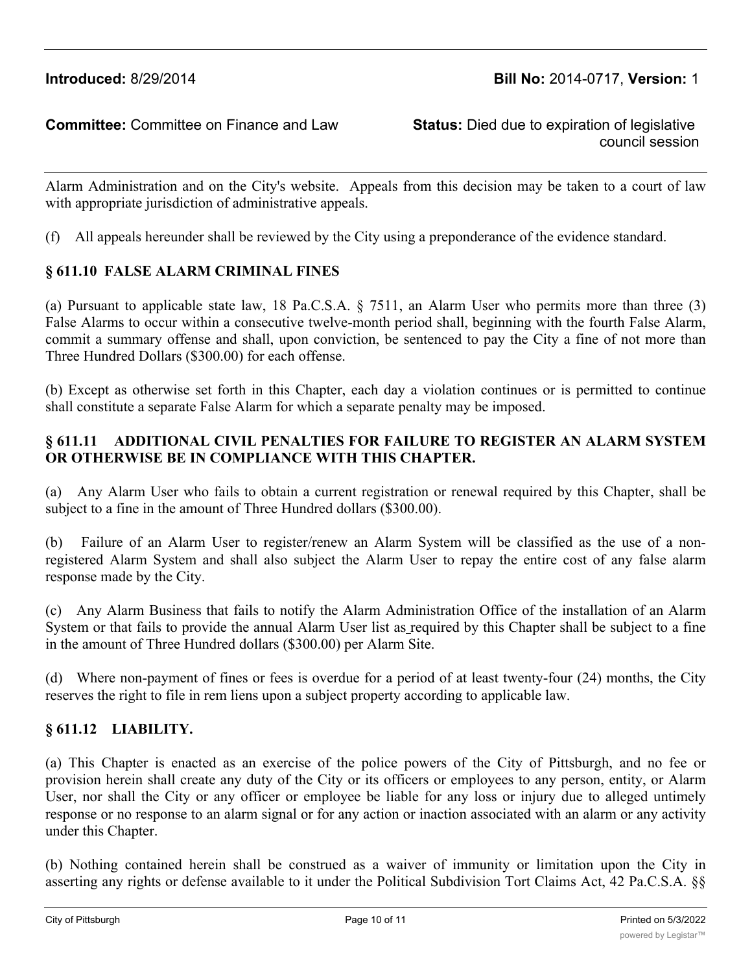council session

Alarm Administration and on the City's website. Appeals from this decision may be taken to a court of law with appropriate jurisdiction of administrative appeals.

(f) All appeals hereunder shall be reviewed by the City using a preponderance of the evidence standard.

### **§ 611.10 FALSE ALARM CRIMINAL FINES**

(a) Pursuant to applicable state law, 18 Pa.C.S.A. § 7511, an Alarm User who permits more than three (3) False Alarms to occur within a consecutive twelve-month period shall, beginning with the fourth False Alarm, commit a summary offense and shall, upon conviction, be sentenced to pay the City a fine of not more than Three Hundred Dollars (\$300.00) for each offense.

(b) Except as otherwise set forth in this Chapter, each day a violation continues or is permitted to continue shall constitute a separate False Alarm for which a separate penalty may be imposed.

# **§ 611.11 ADDITIONAL CIVIL PENALTIES FOR FAILURE TO REGISTER AN ALARM SYSTEM OR OTHERWISE BE IN COMPLIANCE WITH THIS CHAPTER.**

(a) Any Alarm User who fails to obtain a current registration or renewal required by this Chapter, shall be subject to a fine in the amount of Three Hundred dollars (\$300.00).

(b) Failure of an Alarm User to register/renew an Alarm System will be classified as the use of a nonregistered Alarm System and shall also subject the Alarm User to repay the entire cost of any false alarm response made by the City.

(c) Any Alarm Business that fails to notify the Alarm Administration Office of the installation of an Alarm System or that fails to provide the annual Alarm User list as required by this Chapter shall be subject to a fine in the amount of Three Hundred dollars (\$300.00) per Alarm Site.

(d) Where non-payment of fines or fees is overdue for a period of at least twenty-four (24) months, the City reserves the right to file in rem liens upon a subject property according to applicable law.

# **§ 611.12 LIABILITY.**

(a) This Chapter is enacted as an exercise of the police powers of the City of Pittsburgh, and no fee or provision herein shall create any duty of the City or its officers or employees to any person, entity, or Alarm User, nor shall the City or any officer or employee be liable for any loss or injury due to alleged untimely response or no response to an alarm signal or for any action or inaction associated with an alarm or any activity under this Chapter.

(b) Nothing contained herein shall be construed as a waiver of immunity or limitation upon the City in asserting any rights or defense available to it under the Political Subdivision Tort Claims Act, 42 Pa.C.S.A. §§